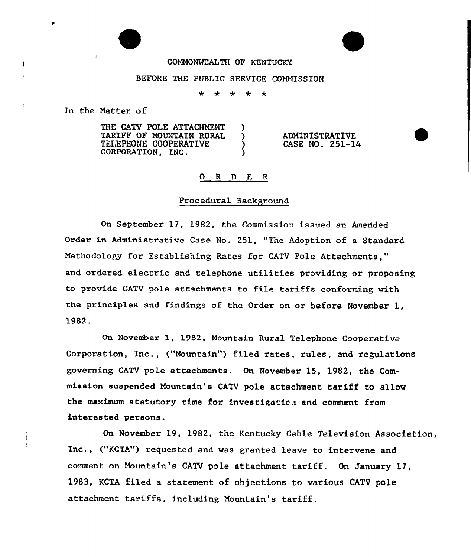## COMMONWEALTH OF KENTUCKY

#### BEFORE THE PUBLIC SERVICE COMMISSION

 $\ddot{\phantom{a}}$ 4  $\star$  $\star$  $\star$ 

In the Natter of

THE CATV POLE ATTACHMENT )<br>TARIFF OF MOUNTAIN RURAL ) TARIFF OF MOUNTAIN RURAL )<br>TELEPHONE COOPERATIVE ) TELEPHONE COOPERATIVE CORPORATION. INC.

ADMINISTRATIVE CASE NO. 251-14

#### 0 R <sup>D</sup> E R

#### Procedural Background

On September 17, 1982, the Commission issued an Amended Order in Administrative Case No. 251, "The Adoption of a Standard Methodology for Establishing Rates for CATV Pole Attachments," and ordered electric and telephone utilities providing or proposing to provide CATV pole attachments to file tariffs conforming with the principles and findings of the Order on or before November 1, 1982.

On November 1, 1982, Mountain Rural Te1ephone Cooperative Corporation, Inc., ("Mountain") filed rates, rules, and regulations governing CATV pole attachments. On November 15" 1982, the Commission suspended Mountain's CATV pole attachment tariff to allow the maximum statutory time for investigation and comment from interested persons.

On November 19, 1982, the Kentucky Cable Television Association, Inc., ("KCTA") requested and was granted leave to intervene and comment on Mountain's CATV pole attachment tariff. On January 17, 1983, KCTA filed a statement of objections to various CATV pole attachment tariffs, including Mountain's tariff.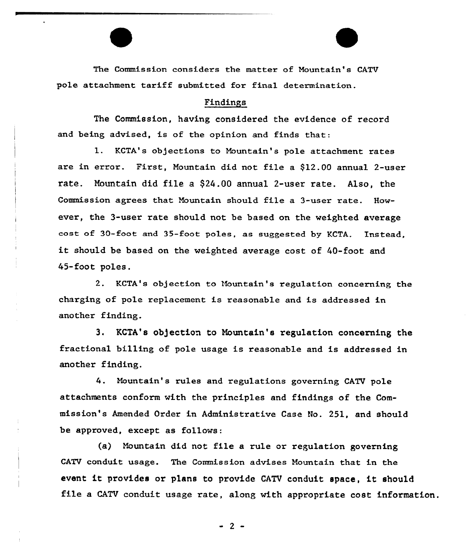The Commission considers the matter of Mountain's CATV pole attachment tariff submitted for final determination.

## Findings

The Commission, having considered the evidence of record and being advised, is of the opinion and finds that:

1. KCTA's objections to Mountain's pole attachment rates are in error. First, Mountain did not file a \$12.00 annual 2-user rate. Nountain did file a \$24.00 annual 2-user rate. Also, the Commission agrees that Mountain should file a 3-user xate. However, the 3-user rate should not be based on the weighted average cost of 30-foot and 35-foot poles, as suggested by KCTA. Instead it should be based on the weighted average cost of 40-foot and 45-foot

KCTA's objection to Mountain's regulation concerning the charging of pole replacement is reasonable and is addressed in another finding.

3. KCTA's ob)ection to Nountain's regulation concerning the fractional billing of pole usage is reasonable and is addressed in another finding.

4. Mountain's rules and regulations governing CATV pole attachments conform with the principles and findings of the Commission's Amended Order in Administrative Case No. 251, and should be approved, except as follows:

(a) Mountain did not file <sup>a</sup> rule or regulation governing CATV conduit usage. The Commission advises Mountain that in the event it provides or plans to provide CATV conduit space, it should file <sup>a</sup> CATV conduit usage rate, along with appropriate cost information.

 $-2 -$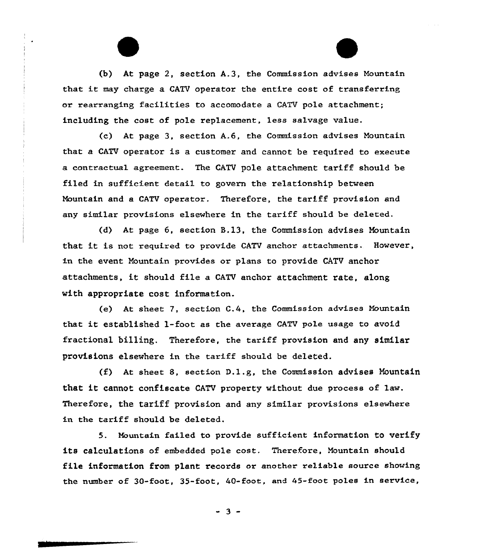(b) At page 2, section A.3, the Commission advises Nountain that it may chaxge <sup>a</sup> CATV operator the entire cost of transfexring or rearranging facilities to accomodate a CATV pole attachment; including the cost of pole replacement, less salvage value.

(c) At page 3, section A.6, the Commission advises Mountain that a CATV operator is a customer and cannot be required to execute a contractual agreement. The CATV pole attachment tariff should be filed in sufficient detail to govern the relationship between Nountain and a CATV operator. Therefore, the tariff provision and any similar provisions elsewhere in the tariff should be deleted.

(d) At page 6, section B.13, the Commission advises Nountain that it is not xequixed to pxovide CATV anchox attachments. However, in the event Nountain provides or plans to provide CATV anchor attachments, it should file <sup>a</sup> CATV anchor attachment rate, along with appropriate cost information.

(e) At sheet 7, section  $C.4$ , the Commission advises Mountain that it established 1-foot as the average CATV po1e usage to avoid fractional billing. Therefore, the tariff provision and any similar provisions elsewhere in the tariff should be deleted.

(f) At sheet 8, section  $D.1.g.$  the Commission advises Mountain that it cannot confiscate CATV property without due process of law. Therefore, the tariff provision and any similar provisions elsewhere in the tariff should be deleted.

5. Mountain failed to provide sufficient information to verify its calculations of embedded pole cost. Therefore, Nountain should file information from plant records or another re1iable source showing the number of 30-foot, 35-foot, 40-foot, and 45-foot poles in sexvice,

 $-3 -$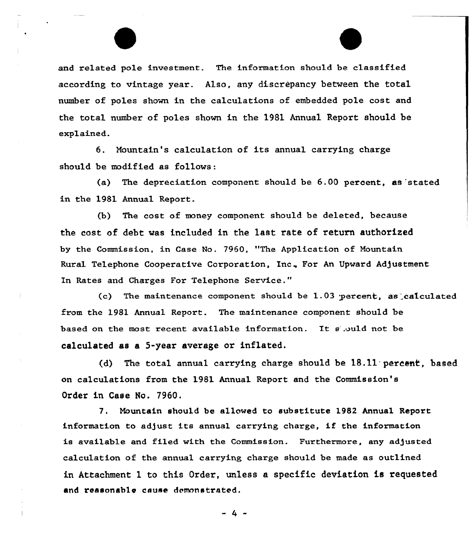and related pole investment. The information should be classified according to vintage year. A1so, any discrepancy between the total number of poles shown in the calculations of embedded pole cost and the total number of poles shown in the 1981 Annual Report should be explained..

6. Mountain's calculation of its annual carrying charge should be modified as follows:

(a) The depreciation component should be 6.00 percent, as 'stated in the 1981 Annual Report.

(b) The cost of money component should be deleted, because the cost of debt was included in the last rate of return authorised by the Commission, in Case No. 7960, "The Application of Mountain Rural Telephone Cooperative Corporation, Inc. For An Upward Adjustment In Rates and Charges For Telephone Service."

(c) The maintenance component should be  $1.03$  percent, as calculated from the 1981 Annual Report. The maintenance component should be based on the most recent available infoxmation. It <sup>s</sup> .ould not be calculated as a 5-year average or inflated.

(d) The total annual carrying charge should be 18.11 percent, based on calculations from the 1981 Annual Report and the Commission's Order in Case No. 7960.

7. Mountain should be allowed to substitute 1982 Annual Report information to adjust its annual carrying charge, if the information is available and filed with the Commission. Furthermore, any adjusted calculation of the annual carrying charge should be made as outlined in Attachment 1 to this Order, un1ess a specific deviation is requested and ressonab1e cause demonstrated.

- 4-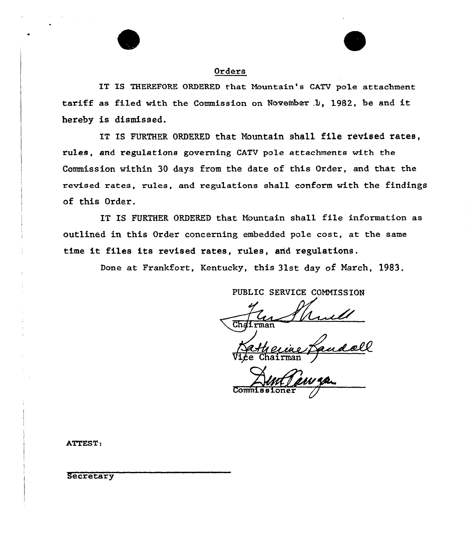### Orders

IT IS THEREFORE ORDERED that Mountain's CATV pole attachment tariff as filed with the Commission on November .1), 1982, be and it hereby is dismissed.

IT IS FURTHER ORDERED that Nountain shall file revised rates, rules, and regulations governing CATV pole attachments with the Commission within 30 days from the date of this Order, and that the revised rates, rules, and regulations shall conform with the findings of this Order.

IT IS FURTHER ORDERED that Nountain shall file information as outlined in this Order concerning embedded pole cost, at the same time it files its revised rates, rules, and regulations.

Done at Frankfort, Kentucky, this 31st day of Narch, 1983.

PUBLIC SERVICE COMMISSION

me<br>fandell Vice Chairma

Comm

ATTEST:

**Secretary**